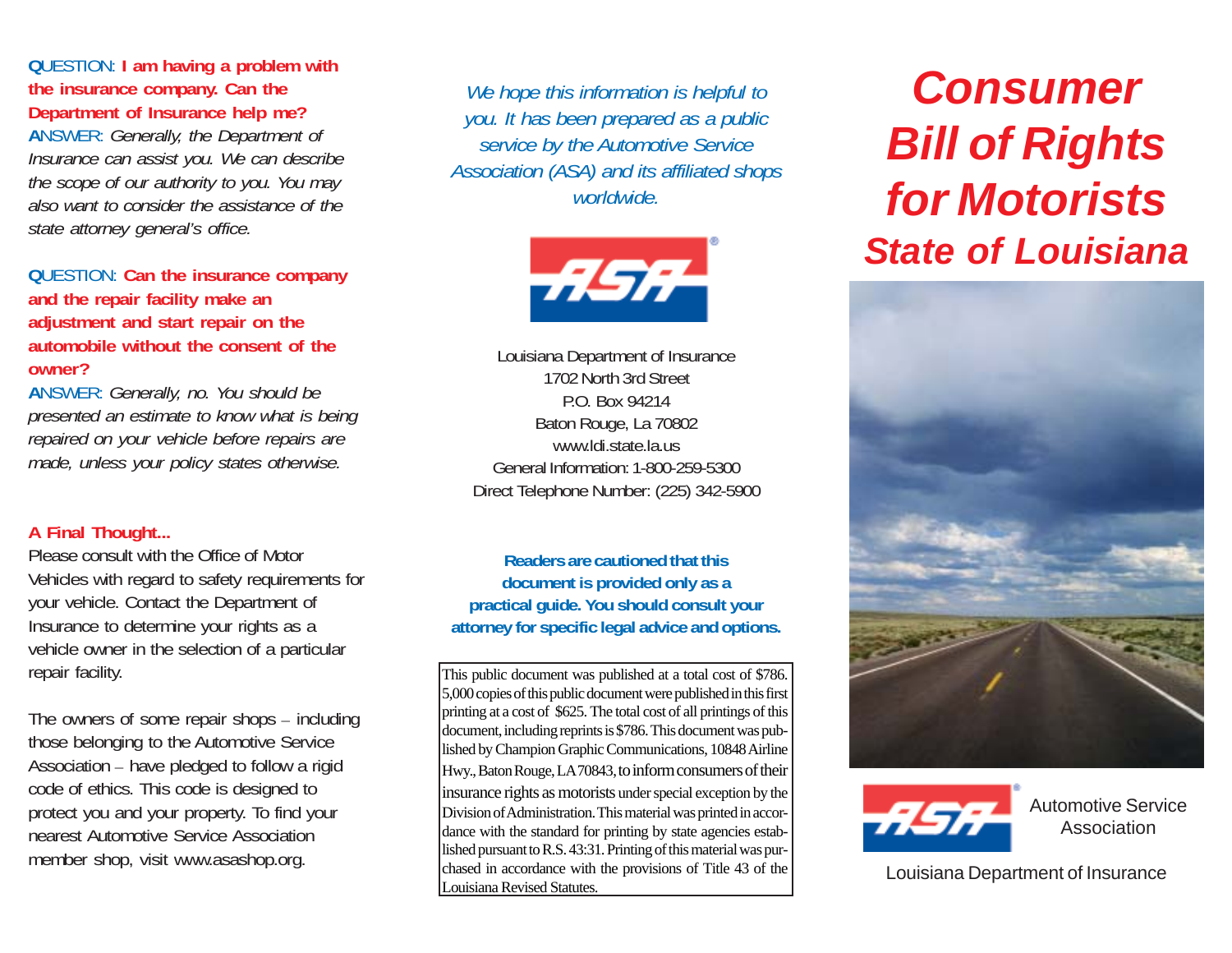## **Q**UESTION: **I am having a problem with the insurance company. Can the Department of Insurance help me?**

**A**NSWER: *Generally, the Department of Insurance can assist you. We can describe the scope of our authority to you. You may also want to consider the assistance of the state attorney general's office.*

#### **Q**UESTION: **Can the insurance company and the repair facility make an adjustment and start repair on the automobile without the consent of the owner?**

**A**NSWER: *Generally, no. You should be presented an estimate to know what is being repaired on your vehicle before repairs are made, unless your policy states otherwise.*

#### **A Final Thought...**

Please consult with the Office of Motor Vehicles with regard to safety requirements for your vehicle. Contact the Department of Insurance to determine your rights as a vehicle owner in the selection of a particular repair facility.

The owners of some repair shops – including those belonging to the Automotive Service Association – have pledged to follow a rigid code of ethics. This code is designed to protect you and your property. To find your nearest Automotive Service Association member shop, visit www.asashop.org.

*We hope this information is helpful to you. It has been prepared as a public service by the Automotive Service Association (ASA) and its affiliated shops worldwide.*



Louisiana Department of Insurance 1702 North 3rd Street P.O. Box 94214 Baton Rouge, La 70802 www.ldi.state.la.us General Information: 1-800-259-5300 Direct Telephone Number: (225) 342-5900

**Readers are cautioned that this document is provided only as a practical guide. You should consult your attorney for specific legal advice and options.**

This public document was published at a total cost of \$786. 5,000 copies of this public document were published in this first printing at a cost of \$625. The total cost of all printings of this document, including reprints is \$786. This document was published by Champion Graphic Communications, 10848 Airline Hwy., Baton Rouge, LA 70843, to inform consumers of their insurance rights as motorists under special exception by the Division of Administration. This material was printed in accordance with the standard for printing by state agencies established pursuant to R.S. 43:31. Printing of this material was purchased in accordance with the provisions of Title 43 of the Louisiana Revised Statutes.

# *Consumer Bill of Rights for Motorists State of Louisiana*





Automotive Service Association

Louisiana Department of Insurance